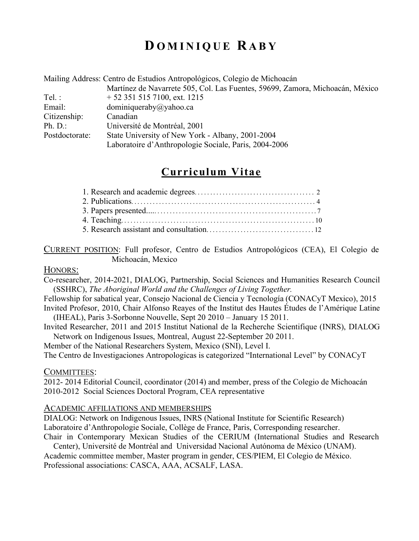# **D OMINIQUE R ABY**

|                | Mailing Address: Centro de Estudios Antropológicos, Colegio de Michoacán      |  |  |  |
|----------------|-------------------------------------------------------------------------------|--|--|--|
|                | Martínez de Navarrete 505, Col. Las Fuentes, 59699, Zamora, Michoacán, México |  |  |  |
| Tel:           | $+ 52$ 351 515 7100, ext. 1215                                                |  |  |  |
| Email:         | dominiqueraby@yahoo.ca                                                        |  |  |  |
| Citizenship:   | Canadian                                                                      |  |  |  |
| Ph. D.         | Université de Montréal, 2001                                                  |  |  |  |
| Postdoctorate: | State University of New York - Albany, 2001-2004                              |  |  |  |
|                | Laboratoire d'Anthropologie Sociale, Paris, 2004-2006                         |  |  |  |

# **Curriculum Vitae**

# CURRENT POSITION: Full profesor, Centro de Estudios Antropológicos (CEA), El Colegio de Michoacán, Mexico

# HONORS:

Co-researcher, 2014-2021, DIALOG, Partnership, Social Sciences and Humanities Research Council (SSHRC), *The Aboriginal World and the Challenges of Living Together.*

Fellowship for sabatical year, Consejo Nacional de Ciencia y Tecnología (CONACyT Mexico), 2015 Invited Profesor, 2010, Chair Alfonso Reayes of the Institut des Hautes Études de l'Amérique Latine (IHEAL), Paris 3-Sorbonne Nouvelle, Sept 20 2010 – January 15 2011.

Invited Researcher, 2011 and 2015 Institut National de la Recherche Scientifique (INRS), DIALOG Network on Indigenous Issues, Montreal, August 22-September 20 2011.

Member of the National Researchers System, Mexico (SNI), Level I. The Centro de Investigaciones Antropologicas is categorized "International Level" by CONACyT

# COMMITTEES:

2012- 2014 Editorial Council, coordinator (2014) and member, press of the Colegio de Michoacán 2010-2012 Social Sciences Doctoral Program, CEA representative

# ACADEMIC AFFILIATIONS AND MEMBERSHIPS

DIALOG: Network on Indigenous Issues, INRS (National Institute for Scientific Research) Laboratoire d'Anthropologie Sociale, Collège de France, Paris, Corresponding researcher. Chair in Contemporary Mexican Studies of the CERIUM (International Studies and Research

Center), Université de Montréal and Universidad Nacional Autónoma de México (UNAM). Academic committee member, Master program in gender, CES/PIEM, El Colegio de México. Professional associations: CASCA, AAA, ACSALF, LASA.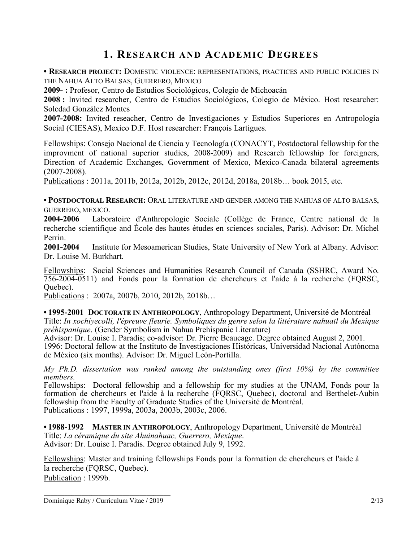# **1. RESEARCH AND ACADEMIC DEGREES**

**• RESEARCH PROJECT:** DOMESTIC VIOLENCE: REPRESENTATIONS, PRACTICES AND PUBLIC POLICIES IN THE NAHUA ALTO BALSAS, GUERRERO, MEXICO

**2009- :** Profesor, Centro de Estudios Sociológicos, Colegio de Michoacán

**2008 :** Invited researcher, Centro de Estudios Sociológicos, Colegio de México. Host researcher: Soledad González Montes

**2007-2008:** Invited reseacher, Centro de Investigaciones y Estudios Superiores en Antropología Social (CIESAS), Mexico D.F. Host researcher: François Lartigues.

Fellowships: Consejo Nacional de Ciencia y Tecnología (CONACYT, Postdoctoral fellowship for the improvment of national superior studies, 2008-2009) and Research fellowship for foreigners, Direction of Academic Exchanges, Government of Mexico, Mexico-Canada bilateral agreements (2007-2008).

Publications : 2011a, 2011b, 2012a, 2012b, 2012c, 2012d, 2018a, 2018b… book 2015, etc.

**• POSTDOCTORAL RESEARCH:** ORAL LITERATURE AND GENDER AMONG THE NAHUAS OF ALTO BALSAS, GUERRERO, MEXICO.

**2004-2006** Laboratoire d'Anthropologie Sociale (Collège de France, Centre national de la recherche scientifique and École des hautes études en sciences sociales, Paris). Advisor: Dr. Michel Perrin.

**2001-2004** Institute for Mesoamerican Studies, State University of New York at Albany. Advisor: Dr. Louise M. Burkhart.

Fellowships: Social Sciences and Humanities Research Council of Canada (SSHRC, Award No. 756-2004-0511) and Fonds pour la formation de chercheurs et l'aide à la recherche (FQRSC, Quebec).

Publications : 2007a, 2007b, 2010, 2012b, 2018b…

**• 1995-2001 DOCTORATE IN ANTHROPOLOGY**, Anthropology Department, Université de Montréal Title: *In xochiyecolli, l'épreuve fleurie. Symboliques du genre selon la littérature nahuatl du Mexique préhispanique*. (Gender Symbolism in Nahua Prehispanic Literature)

Advisor: Dr. Louise I. Paradis; co-advisor: Dr. Pierre Beaucage. Degree obtained August 2, 2001. 1996: Doctoral fellow at the Instituto de Investigaciones Históricas, Universidad Nacional Autónoma de México (six months). Advisor: Dr. Miguel León-Portilla.

*My Ph.D. dissertation was ranked among the outstanding ones (first 10%) by the committee members.* 

Fellowships: Doctoral fellowship and a fellowship for my studies at the UNAM, Fonds pour la formation de chercheurs et l'aide à la recherche (FQRSC, Quebec), doctoral and Berthelet-Aubin fellowship from the Faculty of Graduate Studies of the Université de Montréal. Publications : 1997, 1999a, 2003a, 2003b, 2003c, 2006.

**• 1988-1992 MASTER IN ANTHROPOLOGY**, Anthropology Department, Université de Montréal Title: *La céramique du site Ahuinahuac, Guerrero, Mexique*. Advisor: Dr. Louise I. Paradis. Degree obtained July 9, 1992.

Fellowships: Master and training fellowships Fonds pour la formation de chercheurs et l'aide à la recherche (FQRSC, Quebec). Publication : 1999b.

\_\_\_\_\_\_\_\_\_\_\_\_\_\_\_\_\_\_\_\_\_\_\_\_\_\_\_\_\_\_\_\_\_\_\_\_\_ Dominique Raby / Curriculum Vitae / 2019 2/13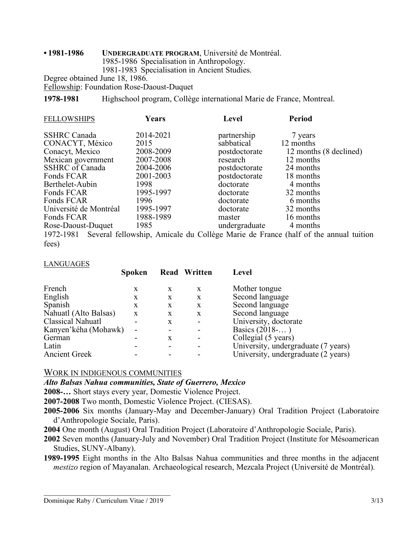#### **• 1981-1986 UNDERGRADUATE PROGRAM**, Université de Montréal. 1985-1986 Specialisation in Anthropology. 1981-1983 Specialisation in Ancient Studies. Degree obtained June 18, 1986.

Fellowship: Foundation Rose-Daoust-Duquet

**1978-1981** Highschool program, Collège international Marie de France, Montreal.

| <b>FELLOWSHIPS</b>     | Years     | <b>Level</b>  | <b>Period</b>                                                                                |
|------------------------|-----------|---------------|----------------------------------------------------------------------------------------------|
| <b>SSHRC</b> Canada    | 2014-2021 | partnership   | 7 years                                                                                      |
| CONACYT, México        | 2015      | sabbatical    | 12 months                                                                                    |
| Conacyt, Mexico        | 2008-2009 | postdoctorate | 12 months (8 declined)                                                                       |
| Mexican government     | 2007-2008 | research      | 12 months                                                                                    |
| <b>SSHRC</b> of Canada | 2004-2006 | postdoctorate | 24 months                                                                                    |
| Fonds FCAR             | 2001-2003 | postdoctorate | 18 months                                                                                    |
| Berthelet-Aubin        | 1998      | doctorate     | 4 months                                                                                     |
| Fonds FCAR             | 1995-1997 | doctorate     | 32 months                                                                                    |
| Fonds FCAR             | 1996      | doctorate     | 6 months                                                                                     |
| Université de Montréal | 1995-1997 | doctorate     | 32 months                                                                                    |
| Fonds FCAR             | 1988-1989 | master        | 16 months                                                                                    |
| Rose-Daoust-Duquet     | 1985      | undergraduate | 4 months                                                                                     |
|                        |           |               | 1972-1981 Several fellowship, Amicale du Collège Marie de France (half of the annual tuition |
| fees)                  |           |               |                                                                                              |

| <b>LANGUAGES</b>         |               |              |                     |                                     |  |  |  |
|--------------------------|---------------|--------------|---------------------|-------------------------------------|--|--|--|
|                          | <b>Spoken</b> |              | <b>Read Written</b> | Level                               |  |  |  |
| French                   | X             | X            | X                   | Mother tongue                       |  |  |  |
| English                  | X             | X            | X                   | Second language                     |  |  |  |
| Spanish                  | X             | X            | X                   | Second language                     |  |  |  |
| Nahuatl (Alto Balsas)    | X             | $\mathbf{X}$ | X                   | Second language                     |  |  |  |
| <b>Classical Nahuatl</b> | ۰             | X            |                     | University, doctorate               |  |  |  |
| Kanyen'kéha (Mohawk)     | -             |              |                     | Basics (2018-)                      |  |  |  |
| German                   |               | X            |                     | Collegial (5 years)                 |  |  |  |
| Latin                    |               |              |                     | University, undergraduate (7 years) |  |  |  |
| <b>Ancient Greek</b>     |               |              |                     | University, undergraduate (2 years) |  |  |  |

# WORK IN INDIGENOUS COMMUNITIES

*Alto Balsas Nahua communities, State of Guerrero, Mexico*

**2008-…** Short stays every year, Domestic Violence Project.

**2007-2008** Two month, Domestic Violence Project. (CIESAS).

**2005-2006** Six months (January-May and December-January) Oral Tradition Project (Laboratoire d'Anthropologie Sociale, Paris).

**2004** One month (August) Oral Tradition Project (Laboratoire d'Anthropologie Sociale, Paris).

**2002** Seven months (January-July and November) Oral Tradition Project (Institute for Mésoamerican Studies, SUNY-Albany).

**1989-1995** Eight months in the Alto Balsas Nahua communities and three months in the adjacent *mestizo* region of Mayanalan. Archaeological research, Mezcala Project (Université de Montréal).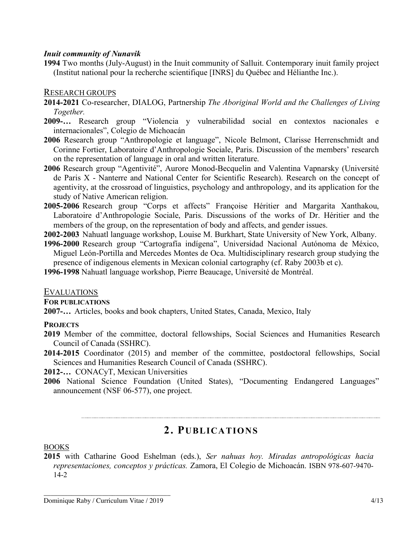# *Inuit community of Nunavik*

**1994** Two months (July-August) in the Inuit community of Salluit. Contemporary inuit family project (Institut national pour la recherche scientifique [INRS] du Québec and Hélianthe Inc.).

# RESEARCH GROUPS

- **2014-2021** Co-researcher, DIALOG, Partnership *The Aboriginal World and the Challenges of Living Together.*
- **2009-…** Research group "Violencia y vulnerabilidad social en contextos nacionales e internacionales", Colegio de Michoacán
- **2006** Research group "Anthropologie et language", Nicole Belmont, Clarisse Herrenschmidt and Corinne Fortier, Laboratoire d'Anthropologie Sociale, Paris. Discussion of the members' research on the representation of language in oral and written literature.
- **2006** Research group "Agentivité", Aurore Monod-Becquelin and Valentina Vapnarsky (Université de Paris X - Nanterre and National Center for Scientific Research). Research on the concept of agentivity, at the crossroad of linguistics, psychology and anthropology, and its application for the study of Native American religion.
- **2005-2006** Research group "Corps et affects" Françoise Héritier and Margarita Xanthakou, Laboratoire d'Anthropologie Sociale, Paris. Discussions of the works of Dr. Héritier and the members of the group, on the representation of body and affects, and gender issues.
- **2002-2003** Nahuatl language workshop, Louise M. Burkhart, State University of New York, Albany.
- **1996-2000** Research group "Cartografía indígena", Universidad Nacional Autónoma de México, Miguel León-Portilla and Mercedes Montes de Oca. Multidisciplinary research group studying the presence of indigenous elements in Mexican colonial cartography (cf. Raby 2003b et c).

**1996-1998** Nahuatl language workshop, Pierre Beaucage, Université de Montréal.

# EVALUATIONS

**FOR PUBLICATIONS**

**2007-…** Articles, books and book chapters, United States, Canada, Mexico, Italy

# **PROJECTS**

- **2019** Member of the committee, doctoral fellowships, Social Sciences and Humanities Research Council of Canada (SSHRC).
- **2014-2015** Coordinator (2015) and member of the committee, postdoctoral fellowships, Social Sciences and Humanities Research Council of Canada (SSHRC).

**2012-…** CONACyT, Mexican Universities

**2006** National Science Foundation (United States), "Documenting Endangered Languages" announcement (NSF 06-577), one project.

# **2. PUBLICATIONS**

# BOOKS

**2015** with Catharine Good Eshelman (eds.), *Ser nahuas hoy. Miradas antropológicas hacia representaciones, conceptos y prácticas.* Zamora, El Colegio de Michoacán. ISBN 978-607-9470- 14-2

\_\_\_\_\_\_\_\_\_\_\_\_\_\_\_\_\_\_\_\_\_\_\_\_\_\_\_\_\_\_\_\_\_\_\_\_\_ Dominique Raby / Curriculum Vitae / 2019 4/13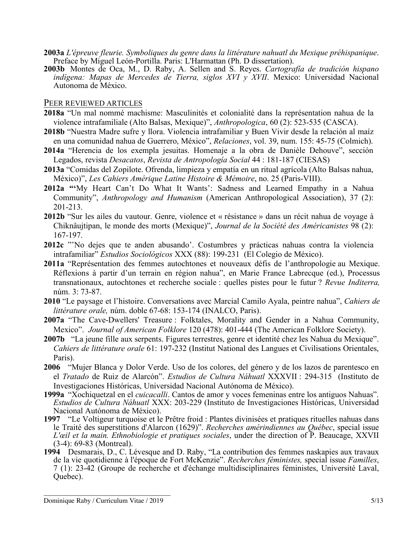- **2003a** *L'épreuve fleurie. Symboliques du genre dans la littérature nahuatl du Mexique préhispanique*. Preface by Miguel León-Portilla. Paris: L'Harmattan (Ph. D dissertation).
- **2003b** Montes de Oca, M., D. Raby, A. Sellen and S. Reyes. *Cartografía de tradición hispano indígena: Mapas de Mercedes de Tierra, siglos XVI y XVII*. Mexico: Universidad Nacional Autonoma de México.

#### PEER REVIEWED ARTICLES

- **2018a** "Un mal nommé machisme: Masculinités et colonialité dans la représentation nahua de la violence intrafamiliale (Alto Balsas, Mexique)", *Anthropologica*, 60 (2): 523-535 (CASCA).
- **2018b** "Nuestra Madre sufre y llora. Violencia intrafamiliar y Buen Vivir desde la relación al maíz en una comunidad nahua de Guerrero, México", *Relaciones*, vol. 39, num. 155: 45-75 (Colmich).
- **2014a** "Herencia de los exempla jesuitas. Homenaje a la obra de Danièle Dehouve", sección Legados, revista *Desacatos*, *Revista de Antropología Social* 44 : 181-187 (CIESAS)
- **2013a** "Comidas del Zopilote. Ofrenda, limpieza y empatía en un ritual agrícola (Alto Balsas nahua, México)", *Les Cahiers Amérique Latine Histoire & Mémoire*, no. 25 (Paris-VIII).
- **2012a "'**My Heart Can't Do What It Wants': Sadness and Learned Empathy in a Nahua Community", *Anthropology and Humanism* (American Anthropological Association), 37 (2): 201-213.
- **2012b** "Sur les ailes du vautour. Genre, violence et « résistance » dans un récit nahua de voyage à Chiknâujtipan, le monde des morts (Mexique)", *Journal de la Société des Américanistes* 98 (2): 167-197.
- **2012c** "'No dejes que te anden abusando'. Costumbres y prácticas nahuas contra la violencia intrafamiliar" *Estudios Sociológicos* XXX (88): 199-231 (El Colegio de México).
- **2011a** "Représentation des femmes autochtones et nouveaux défis de l'anthropologie au Mexique. Réflexions à partir d'un terrain en région nahua", en Marie France Labrecque (ed.), Processus transnationaux, autochtones et recherche sociale : quelles pistes pour le futur ? *Revue Inditerra,* núm. 3: 73-87.
- **2010** "Le paysage et l'histoire. Conversations avec Marcial Camilo Ayala, peintre nahua", *Cahiers de littérature orale,* núm. doble 67-68: 153-174 (INALCO, Paris).
- **2007a** "The Cave-Dwellers' Treasure : Folktales, Morality and Gender in a Nahua Community, Mexico". *Journal of American Folklore* 120 (478): 401-444 (The American Folklore Society).
- **2007b** "La jeune fille aux serpents. Figures terrestres, genre et identité chez les Nahua du Mexique". *Cahiers de littérature orale* 61: 197-232 (Institut National des Langues et Civilisations Orientales, Paris).
- **2006** "Mujer Blanca y Dolor Verde. Uso de los colores, del género y de los lazos de parentesco en el *Tratado* de Ruiz de Alarcón". *Estudios de Cultura Náhuatl* XXXVII : 294-315 (Instituto de Investigaciones Históricas, Universidad Nacional Autónoma de México).
- **1999a** "Xochiquetzal en el *cuicacalli*. Cantos de amor y voces femeninas entre los antiguos Nahuas". *Estudios de Cultura Náhuatl* XXX: 203-229 (Instituto de Investigaciones Históricas, Universidad Nacional Autónoma de México).
- **1997** "Le Voltigeur turquoise et le Prêtre froid : Plantes divinisées et pratiques rituelles nahuas dans le Traité des superstitions d'Alarcon (1629)". *Recherches amérindiennes au Québec*, special issue *L'œil et la main. Ethnobiologie et pratiques sociales*, under the direction of P. Beaucage, XXVII (3-4): 69-83 (Montreal).
- 1994 Desmarais, D., C. Lévesque and D. Raby, "La contribution des femmes naskapies aux travaux de la vie quotidienne à l'époque de Fort McKenzie". *Recherches féministes*, special issue *Familles*, de la vie quotidienne à l'époque de Fort McKenzie". *Recherches féministes,* special issue *Familles*, 7 (1): 23-42 (Groupe de recherche et d'échange multidisciplinaires féministes, Université Laval, Quebec).

\_\_\_\_\_\_\_\_\_\_\_\_\_\_\_\_\_\_\_\_\_\_\_\_\_\_\_\_\_\_\_\_\_\_\_\_\_ Dominique Raby / Curriculum Vitae / 2019 5/13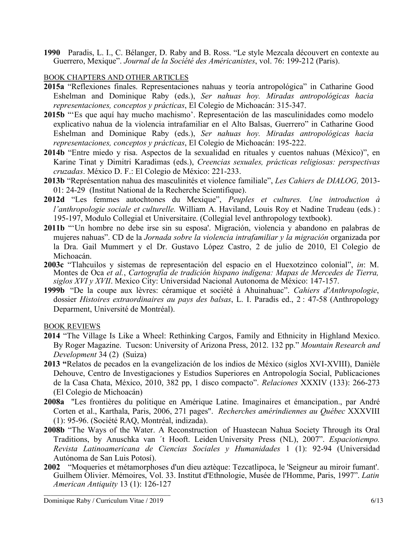**1990** Paradis, L. I., C. Bélanger, D. Raby and B. Ross. "Le style Mezcala découvert en contexte au Guerrero, Mexique". *Journal de la Société des Américanistes*, vol. 76: 199-212 (Paris).

# BOOK CHAPTERS AND OTHER ARTICLES

- **2015a** "Reflexiones finales. Representaciones nahuas y teoría antropológica" in Catharine Good Eshelman and Dominique Raby (eds.), *Ser nahuas hoy. Miradas antropológicas hacia representaciones, conceptos y prácticas*, El Colegio de Michoacán: 315-347.
- **2015b** "'Es que aquí hay mucho machismo'. Representación de las masculinidades como modelo explicativo nahua de la violencia intrafamiliar en el Alto Balsas, Guerrero" in Catharine Good Eshelman and Dominique Raby (eds.), *Ser nahuas hoy. Miradas antropológicas hacia representaciones, conceptos y prácticas*, El Colegio de Michoacán: 195-222.
- **2014b** "Entre miedo y risa. Aspectos de la sexualidad en rituales y cuentos nahuas (México)", en Karine Tinat y Dimitri Karadimas (eds.), *Creencias sexuales, prácticas religiosas: perspectivas cruzadas*. México D. F.: El Colegio de México: 221-233.
- **2013b** "Représentation nahua des masculinités et violence familiale", *Les Cahiers de DIALOG,* 2013- 01: 24-29 (Institut National de la Recherche Scientifique).
- **2012d** "Les femmes autochtones du Mexique", *Peuples et cultures. Une introduction à l'anthropologie sociale et culturelle.* William A. Haviland, Louis Roy et Nadine Trudeau (eds.) : 195-197, Modulo Collegial et Universitaire. (Collegial level anthropology textbook).
- **2011b** "'Un hombre no debe irse sin su esposa'. Migración, violencia y abandono en palabras de mujeres nahuas". CD de la *Jornada sobre la violencia intrafamiliar y la migración* organizada por la Dra. Gail Mummert y el Dr. Gustavo López Castro, 2 de julio de 2010, El Colegio de Michoacán.
- **2003c** "Tlahcuilos y sistemas de representación del espacio en el Huexotzinco colonial", *in*: M. Montes de Oca *et al.*, *Cartografía de tradición hispano indígena: Mapas de Mercedes de Tierra, siglos XVI y XVII*. Mexico City: Universidad Nacional Autonoma de México: 147-157.
- **1999b** "De la coupe aux lèvres: céramique et société à Ahuinahuac". *Cahiers d'Anthropologie*, dossier *Histoires extraordinaires au pays des balsas*, L. I. Paradis ed., 2 : 47-58 (Anthropology Deparment, Université de Montréal).

# BOOK REVIEWS

- **2014** "The Village Is Like a Wheel: Rethinking Cargos, Family and Ethnicity in Highland Mexico. By Roger Magazine. Tucson: University of Arizona Press, 2012. 132 pp." *Mountain Research and Development* 34 (2) (Suiza)
- **2013 "**Relatos de pecados en la evangelización de los indios de México (siglos XVI-XVIII), Danièle Dehouve, Centro de Investigaciones y Estudios Superiores en Antropología Social, Publicaciones de la Casa Chata, México, 2010, 382 pp, 1 disco compacto". *Relaciones* XXXIV (133): 266-273 (El Colegio de Michoacán)
- **2008a** "Les frontières du politique en Amérique Latine. Imaginaires et émancipation., par André Corten et al., Karthala, Paris, 2006, 271 pages". *Recherches amérindiennes au Québec* XXXVIII (1): 95-96. (Société RAQ, Montréal, indizada).
- **2008b** "The Ways of the Water. A Reconstruction of Huastecan Nahua Society Through its Oral Traditions, by Anuschka van ´t Hooft. Leiden University Press (NL), 2007". *Espaciotiempo. Revista Latinoamericana de Ciencias Sociales y Humanidades* 1 (1): 92-94 (Universidad Autónoma de San Luis Potosí).
- **2002** "Moqueries et métamorphoses d'un dieu aztèque: Tezcatlipoca, le 'Seigneur au miroir fumant'. Guilhem Olivier. Mémoires, Vol. 33. Institut d'Ethnologie, Musée de l'Homme, Paris, 1997". *Latin American Antiquity* 13 (1): 126-127

\_\_\_\_\_\_\_\_\_\_\_\_\_\_\_\_\_\_\_\_\_\_\_\_\_\_\_\_\_\_\_\_\_\_\_\_\_ Dominique Raby / Curriculum Vitae / 2019 6/13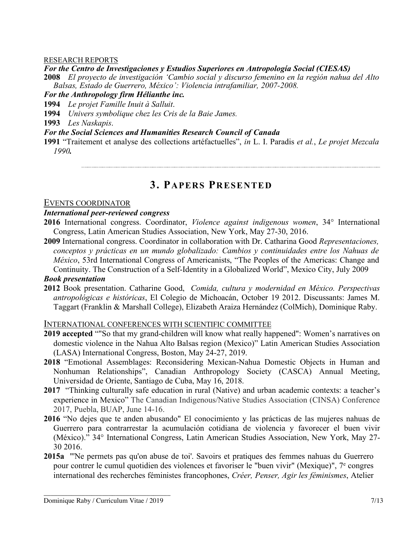#### RESEARCH REPORTS

#### *For the Centro de Investigaciones y Estudios Superiores en Antropología Social (CIESAS)*

**2008** *El proyecto de investigación 'Cambio social y discurso femenino en la región nahua del Alto Balsas, Estado de Guerrero, México': Violencia intrafamiliar, 2007-2008.*

#### *For the Anthropology firm Hélianthe inc.*

**1994** *Le projet Famille Inuit à Salluit*.

**1994** *Univers symbolique chez les Cris de la Baie James.*

**1993** *Les Naskapis*.

# *For the Social Sciences and Humanities Research Council of Canada*

**1991** "Traitement et analyse des collections artéfactuelles", *in* L. I. Paradis *et al.*, *Le projet Mezcala 1990.*

# **3. PAPERS PRESENTED**

# EVENTS COORDINATOR

#### *International peer-reviewed congress*

- **2016** International congress. Coordinator, *Violence against indigenous women*, 34° International Congress, Latin American Studies Association, New York, May 27-30, 2016.
- **2009** International congress. Coordinator in collaboration with Dr. Catharina Good *Representaciones, conceptos y prácticas en un mundo globalizado: Cambios y continuidades entre los Nahuas de México*, 53rd International Congress of Americanists, "The Peoples of the Americas: Change and Continuity. The Construction of a Self-Identity in a Globalized World", Mexico City, July 2009

# *Book presentation*

**2012** Book presentation. Catharine Good, *Comida, cultura y modernidad en México. Perspectivas antropológicas e históricas*, El Colegio de Michoacán, October 19 2012. Discussants: James M. Taggart (Franklin & Marshall College), Elizabeth Araiza Hernández (ColMich), Dominique Raby.

# INTERNATIONAL CONFERENCES WITH SCIENTIFIC COMMITTEE

- **2019 accepted** ""So that my grand-children will know what really happened": Women's narratives on domestic violence in the Nahua Alto Balsas region (Mexico)" Latin American Studies Association (LASA) International Congress, Boston, May 24-27, 2019.
- **2018** "Emotional Assemblages: Reconsidering Mexican-Nahua Domestic Objects in Human and Nonhuman Relationships", Canadian Anthropology Society (CASCA) Annual Meeting, Universidad de Oriente, Santiago de Cuba, May 16, 2018.
- **2017** "Thinking culturally safe education in rural (Native) and urban academic contexts: a teacher's experience in Mexico" The Canadian Indigenous/Native Studies Association (CINSA) Conference 2017, Puebla, BUAP, June 14-16.
- **2016** "No dejes que te anden abusando" El conocimiento y las prácticas de las mujeres nahuas de Guerrero para contrarrestar la acumulación cotidiana de violencia y favorecer el buen vivir (México)." 34° International Congress, Latin American Studies Association, New York, May 27- 30 2016.
- **2015a** "'Ne permets pas qu'on abuse de toi'. Savoirs et pratiques des femmes nahuas du Guerrero pour contrer le cumul quotidien des violences et favoriser le "buen vivir" (Mexique)", 7e congres international des recherches féministes francophones, *Créer, Penser, Agir les féminismes*, Atelier

\_\_\_\_\_\_\_\_\_\_\_\_\_\_\_\_\_\_\_\_\_\_\_\_\_\_\_\_\_\_\_\_\_\_\_\_\_ Dominique Raby / Curriculum Vitae / 2019 7/13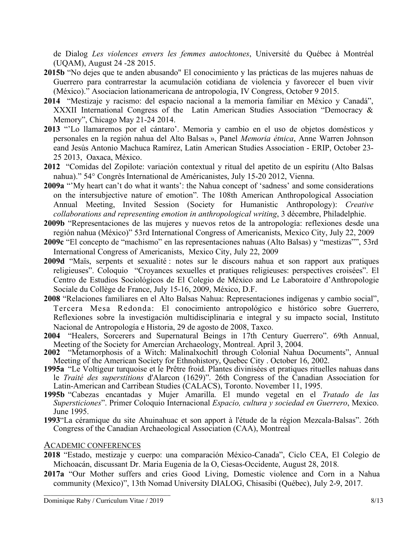de Dialog *Les violences envers les femmes autochtones*, Université du Québec à Montréal (UQAM), August 24 -28 2015.

- **2015b** "No dejes que te anden abusando" El conocimiento y las prácticas de las mujeres nahuas de Guerrero para contrarrestar la acumulación cotidiana de violencia y favorecer el buen vivir (México)." Asociacion lationamericana de antropologia, IV Congress, October 9 2015.
- **2014** "Mestizaje y racismo: del espacio nacional a la memoria familiar en México y Canadá", XXXII International Congress of the Latin American Studies Association "Democracy & Memory", Chicago May 21-24 2014.
- **2013** "'Lo llamaremos por el cántaro'. Memoria y cambio en el uso de objetos domésticos y personales en la región nahua del Alto Balsas », Panel *Memoria étnica*, Anne Warren Johnson eand Jesús Antonio Machuca Ramírez, Latin American Studies Association - ERIP, October 23- 25 2013, Oaxaca, México.
- **2012** "Comidas del Zopilote: variación contextual y ritual del apetito de un espíritu (Alto Balsas nahua)." 54° Congrès International de Américanistes, July 15-20 2012, Vienna.
- **2009a** "'My heart can't do what it wants': the Nahua concept of 'sadness' and some considerations on the intersubjective nature of emotion". The 108th American Anthropological Association Annual Meeting, Invited Session (Society for Humanistic Anthropology): *Creative collaborations and representing emotion in anthropological writing*, 3 décembre, Philadelphie.
- **2009b** "Representaciones de las mujeres y nuevos retos de la antropología: reflexiones desde una región nahua (México)" 53rd International Congress of Americanists, Mexico City, July 22, 2009
- **2009c** "El concepto de "machismo" en las representaciones nahuas (Alto Balsas) y "mestizas"", 53rd International Congress of Americanists, Mexico City, July 22, 2009
- **2009d** "Maïs, serpents et sexualité : notes sur le discours nahua et son rapport aux pratiques religieuses". Coloquio "Croyances sexuelles et pratiques religieuses: perspectives croisées". El Centro de Estudios Sociológicos de El Colegio de México and Le Laboratoire d'Anthropologie Sociale du Collège de France, July 15-16, 2009, México, D.F.
- **2008** "Relaciones familiares en el Alto Balsas Nahua: Representaciones indígenas y cambio social", Tercera Mesa Redonda: El conocimiento antropológico e histórico sobre Guerrero, Reflexiones sobre la investigación multidisciplinaria e integral y su impacto social, Instituto Nacional de Antropología e Historia, 29 de agosto de 2008, Taxco.
- **2004** "Healers, Sorcerers and Supernatural Beings in 17th Century Guerrero". 69th Annual, Meeting of the Society for Amercian Archaeology, Montreal. April 3, 2004.
- **2002** "Metamorphosis of a Witch: Malinalxochitl through Colonial Nahua Documents", Annual Meeting of the American Society for Ethnohistory, Quebec City . October 16, 2002.
- **1995a** "Le Voltigeur turquoise et le Prêtre froid. Plantes divinisées et pratiques rituelles nahuas dans le *Traité des superstitions* d'Alarcon (1629)". 26th Congress of the Canadian Association for Latin-American and Carribean Studies (CALACS), Toronto. November 11, 1995.
- **1995b** "Cabezas encantadas y Mujer Amarilla. El mundo vegetal en el *Tratado de las Supersticiones*". Primer Coloquio Internacional *Espacio, cultura y sociedad en Guerrero*, Mexico. June 1995.
- **1993**"La céramique du site Ahuinahuac et son apport à l'étude de la région Mezcala-Balsas". 26th Congress of the Canadian Archaeological Association (CAA), Montreal

# ACADEMIC CONFERENCES

- **2018** "Estado, mestizaje y cuerpo: una comparación México-Canada", Ciclo CEA, El Colegio de Michoacán, discussant Dr. Maria Eugenia de la O, Ciesas-Occidente, August 28, 2018.
- **2017a** "Our Mother suffers and cries Good Living, Domestic violence and Corn in a Nahua community (Mexico)", 13th Nomad University DIALOG, Chisasibi (Québec), July 2-9, 2017.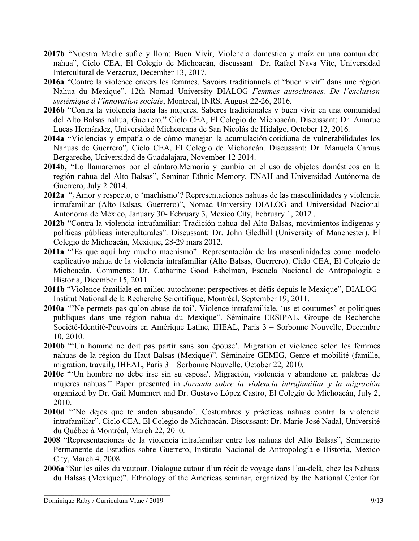- **2017b** "Nuestra Madre sufre y llora: Buen Vivir, Violencia domestica y maíz en una comunidad nahua", Ciclo CEA, El Colegio de Michoacán, discussant Dr. Rafael Nava Vite, Universidad Intercultural de Veracruz, December 13, 2017.
- **2016a** "Contre la violence envers les femmes. Savoirs traditionnels et "buen vivir" dans une région Nahua du Mexique". 12th Nomad University DIALOG *Femmes autochtones. De l'exclusion systémique à l'innovation sociale*, Montreal, INRS, August 22-26, 2016.
- **2016b** "Contra la violencia hacia las mujeres. Saberes tradicionales y buen vivir en una comunidad del Alto Balsas nahua, Guerrero." Ciclo CEA, El Colegio de Michoacán. Discussant: Dr. Amaruc Lucas Hernández, Universidad Michoacana de San Nicolás de Hidalgo, October 12, 2016.
- **2014a "**Violencias y empatía o de cómo manejan la acumulación cotidiana de vulnerabilidades los Nahuas de Guerrero", Ciclo CEA, El Colegio de Michoacán. Discussant: Dr. Manuela Camus Bergareche, Universidad de Guadalajara, November 12 2014.
- **2014b, "**Lo llamaremos por el cántaro.Memoria y cambio en el uso de objetos domésticos en la región nahua del Alto Balsas", Seminar Ethnic Memory, ENAH and Universidad Autónoma de Guerrero, July 2 2014.
- **2012a** "¿Amor y respecto, o 'machismo'? Representaciones nahuas de las masculinidades y violencia intrafamiliar (Alto Balsas, Guerrero)", Nomad University DIALOG and Universidad Nacional Autonoma de México, January 30- February 3, Mexico City, February 1, 2012 .
- **2012b** "Contra la violencia intrafamiliar: Tradición nahua del Alto Balsas, movimientos indígenas y políticas públicas interculturales". Discussant: Dr. John Gledhill (University of Manchester). El Colegio de Michoacán, Mexique, 28-29 mars 2012.
- **2011a** "'Es que aquí hay mucho machismo". Representación de las masculinidades como modelo explicativo nahua de la violencia intrafamiliar (Alto Balsas, Guerrero). Ciclo CEA, El Colegio de Michoacán. Comments: Dr. Catharine Good Eshelman, Escuela Nacional de Antropología e Historia, Dicember 15, 2011.
- **2011b** "Violence familiale en milieu autochtone: perspectives et défis depuis le Mexique", DIALOG-Institut National de la Recherche Scientifique, Montréal, September 19, 2011.
- **2010a** "'Ne permets pas qu'on abuse de toi'. Violence intrafamiliale, 'us et coutumes' et politiques publiques dans une région nahua du Mexique". Séminaire ERSIPAL, Groupe de Recherche Société-Identité-Pouvoirs en Amérique Latine, IHEAL, Paris 3 – Sorbonne Nouvelle, Decembre 10, 2010.
- **2010b** "'Un homme ne doit pas partir sans son épouse'. Migration et violence selon les femmes nahuas de la région du Haut Balsas (Mexique)". Séminaire GEMIG, Genre et mobilité (famille, migration, travail), IHEAL, Paris 3 – Sorbonne Nouvelle, October 22, 2010.
- **2010c** "'Un hombre no debe irse sin su esposa'. Migración, violencia y abandono en palabras de mujeres nahuas." Paper presented in *Jornada sobre la violencia intrafamiliar y la migración*  organized by Dr. Gail Mummert and Dr. Gustavo López Castro, El Colegio de Michoacán, July 2, 2010.
- **2010d** "'No dejes que te anden abusando'. Costumbres y prácticas nahuas contra la violencia intrafamiliar". Ciclo CEA, El Colegio de Michoacán. Discussant: Dr. Marie-José Nadal, Université du Québec à Montréal, March 22, 2010.
- **2008** "Representaciones de la violencia intrafamiliar entre los nahuas del Alto Balsas", Seminario Permanente de Estudios sobre Guerrero, Instituto Nacional de Antropología e Historia, Mexico City, March 4, 2008.
- **2006a** "Sur les ailes du vautour. Dialogue autour d'un récit de voyage dans l'au-delà, chez les Nahuas du Balsas (Mexique)". Ethnology of the Americas seminar, organized by the National Center for

\_\_\_\_\_\_\_\_\_\_\_\_\_\_\_\_\_\_\_\_\_\_\_\_\_\_\_\_\_\_\_\_\_\_\_\_\_ Dominique Raby / Curriculum Vitae / 2019 9/13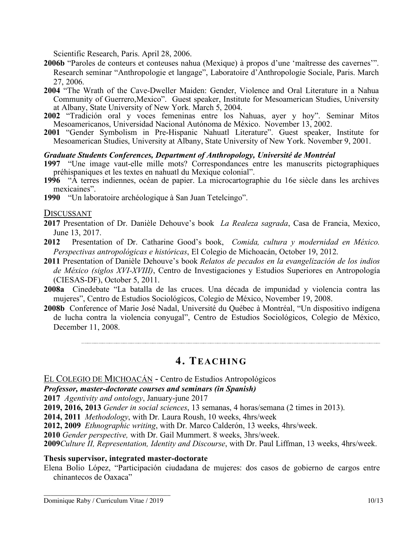Scientific Research, Paris. April 28, 2006.

- **2006b** "Paroles de conteurs et conteuses nahua (Mexique) à propos d'une 'maîtresse des cavernes'". Research seminar "Anthropologie et langage", Laboratoire d'Anthropologie Sociale, Paris. March 27, 2006.
- **2004** "The Wrath of the Cave-Dweller Maiden: Gender, Violence and Oral Literature in a Nahua Community of Guerrero,Mexico". Guest speaker, Institute for Mesoamerican Studies, University at Albany, State University of New York. March 5, 2004.
- **2002** "Tradición oral y voces femeninas entre los Nahuas, ayer y hoy". Seminar Mitos Mesoamericanos, Universidad Nacional Autónoma de México. November 13, 2002.
- **2001** "Gender Symbolism in Pre-Hispanic Nahuatl Literature". Guest speaker, Institute for Mesoamerican Studies, University at Albany, State University of New York. November 9, 2001.

# *Graduate Students Conferences, Department of Anthropology, Université de Montréal*

- **1997** "Une image vaut-elle mille mots? Correspondances entre les manuscrits pictographiques préhispaniques et les textes en nahuatl du Mexique colonial".
- **1996** "À terres indiennes, océan de papier. La microcartographie du 16e siècle dans les archives mexicaines".
- **1990** "Un laboratoire archéologique à San Juan Tetelcingo".

# DISCUSSANT

- **2017** Presentation of Dr. Danièle Dehouve's book *La Realeza sagrada*, Casa de Francia, Mexico, June 13, 2017.
- **2012** Presentation of Dr. Catharine Good's book, *Comida, cultura y modernidad en México. Perspectivas antropológicas e históricas*, El Colegio de Michoacán, October 19, 2012.
- **2011** Presentation of Danièle Dehouve's book *Relatos de pecados en la evangelización de los indios de México (siglos XVI-XVIII)*, Centro de Investigaciones y Estudios Superiores en Antropología (CIESAS-DF), October 5, 2011.
- **2008a** Cinedebate "La batalla de las cruces. Una década de impunidad y violencia contra las mujeres", Centro de Estudios Sociológicos, Colegio de México, November 19, 2008.
- **2008b** Conference of Marie José Nadal, Université du Québec à Montréal, "Un dispositivo indígena de lucha contra la violencia conyugal", Centro de Estudios Sociológicos, Colegio de México, December 11, 2008.

# **4. TEACHING**

EL COLEGIO DE MICHOACÁN - Centro de Estudios Antropológicos

*Professor, master-doctorate courses and seminars (in Spanish)*

**2017** *Agentivity and ontology*, January-june 2017

**2019, 2016, 2013** *Gender in social sciences*, 13 semanas, 4 horas/semana (2 times in 2013).

**2014, 2011** *Methodology*, with Dr. Laura Roush, 10 weeks, 4hrs/week

**2012, 2009** *Ethnographic writing*, with Dr. Marco Calderón, 13 weeks, 4hrs/week.

**2010** *Gender perspective,* with Dr. Gail Mummert. 8 weeks, 3hrs/week.

**2009***Culture II, Representation, Identity and Discourse*, with Dr. Paul Liffman, 13 weeks, 4hrs/week.

# **Thesis supervisor, integrated master-doctorate**

Elena Bolio López, "Participación ciudadana de mujeres: dos casos de gobierno de cargos entre chinantecos de Oaxaca"

\_\_\_\_\_\_\_\_\_\_\_\_\_\_\_\_\_\_\_\_\_\_\_\_\_\_\_\_\_\_\_\_\_\_\_\_\_ Dominique Raby / Curriculum Vitae / 2019 10/13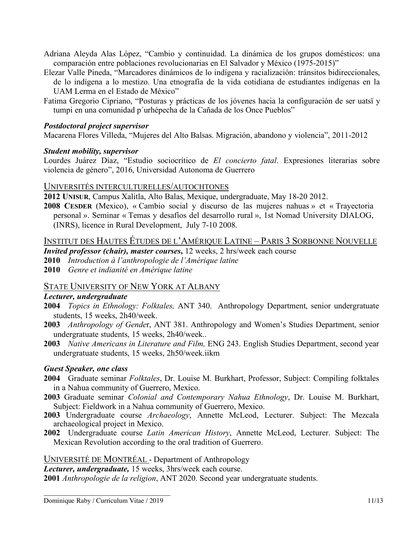- Adriana Aleyda Alas López, "Cambio y continuidad. La dinámica de los grupos domésticos: una comparación entre poblaciones revolucionarias en El Salvador y México (1975-2015)"
- Elezar Valle Pineda, "Marcadores dinámicos de lo indígena y racialización: tránsitos bidireccionales, de lo indígena a lo mestizo. Una etnografía de la vida cotidiana de estudiantes indígenas en la UAM Lerma en el Estado de México"
- Fatima Gregorio Cipriano, "Posturas y prácticas de los jóvenes hacia la configuración de ser uatsï y tumpi en una comunidad p´urhépecha de la Cañada de los Once Pueblos"

# *Postdoctoral project supervisor*

Macarena Flores Villeda, "Mujeres del Alto Balsas. Migración, abandono y violencia", 2011-2012

# *Student mobility, supervisor*

Lourdes Juárez Díaz, "Estudio sociocrítico de *El concierto fatal*. Expresiones literarias sobre violencia de género", 2016, Universidad Autonoma de Guerrero

# UNIVERSITÉS INTERCULTURELLES/AUTOCHTONES

**2012 UNISUR**, Campus Xalitla, Alto Balas, Mexique, undergraduate, May 18-20 2012.

**2008 CESDER** (Mexico), « Cambio social y discurso de las mujeres nahuas » et « Trayectoria personal ». Seminar « Temas y desafíos del desarrollo rural », 1st Nomad University DIALOG, (INRS), licence in Rural Development, July 7-10 2008.

# INSTITUT DES HAUTES ÉTUDES DE L'AMÉRIQUE LATINE – PARIS 3 SORBONNE NOUVELLE

- *Invited professor (chair), master courses***,** 12 weeks, 2 hrs/week each course
- **2010** *Introduction à l'anthropologie de l'Amérique latine*
- **2010** *Genre et indianité en Amérique latine*

# STATE UNIVERSITY OF NEW YORK AT ALBANY

# *Lecturer, undergraduate*

- **2004** *Topics in Ethnology: Folktales,* ANT 340. Anthropology Department, senior undergratuate students, 15 weeks, 2h40/week.
- **2003** *Anthropology of Gende*r, ANT 381. Anthropology and Women's Studies Department, senior undergratuate students, 15 weeks, 2h40/week..
- **2003** *Native Americans in Literature and Film,* ENG 243. English Studies Department, second year undergratuate students, 15 weeks, 2h50/week.iikm

# *Guest Speaker, one class*

- **2004** Graduate seminar *Folktales*, Dr. Louise M. Burkhart, Professor, Subject: Compiling folktales in a Nahua community of Guerrero, Mexico.
- **2003** Graduate seminar *Colonial and Contemporary Nahua Ethnology*, Dr. Louise M. Burkhart, Subject: Fieldwork in a Nahua community of Guerrero, Mexico.
- **2003** Undergraduate course *Archaeology*, Annette McLeod, Lecturer. Subject: The Mezcala archaeological project in Mexico.
- **2002** Undergraduate course *Latin American History*, Annette McLeod, Lecturer. Subject: The Mexican Revolution according to the oral tradition of Guerrero.

UNIVERSITÉ DE MONTRÉAL - Department of Anthropology

*Lecturer, undergraduate,* 15 weeks, 3hrs/week each course.

**2001** *Anthropologie de la religion*, ANT 2020. Second year undergratuate students.

\_\_\_\_\_\_\_\_\_\_\_\_\_\_\_\_\_\_\_\_\_\_\_\_\_\_\_\_\_\_\_\_\_\_\_\_\_ Dominique Raby / Curriculum Vitae / 2019 11/13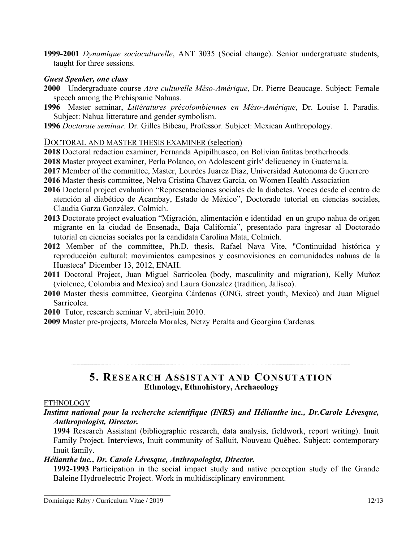**1999-2001** *Dynamique socioculturelle*, ANT 3035 (Social change). Senior undergratuate students, taught for three sessions.

# *Guest Speaker, one class*

- **2000** Undergraduate course *Aire culturelle Méso-Amérique*, Dr. Pierre Beaucage. Subject: Female speech among the Prehispanic Nahuas.
- **1996** Master seminar, *Littératures précolombiennes en Méso-Amérique*, Dr. Louise I. Paradis. Subject: Nahua litterature and gender symbolism.
- **1996** *Doctorate seminar*. Dr. Gilles Bibeau, Professor. Subject: Mexican Anthropology.

# DOCTORAL AND MASTER THESIS EXAMINER (selection)

- **2018** Doctoral redaction examiner, Fernanda Apipilhuasco, on Bolivian ñatitas brotherhoods.
- **2018** Master proyect examiner, Perla Polanco, on Adolescent girls' delicuency in Guatemala.
- **2017** Member of the committee, Master, Lourdes Juarez Diaz, Universidad Autonoma de Guerrero
- **2016** Master thesis committee, Nelva Cristina Chavez Garcia, on Women Health Association
- **2016** Doctoral project evaluation "Representaciones sociales de la diabetes. Voces desde el centro de atención al diabético de Acambay, Estado de México", Doctorado tutorial en ciencias sociales, Claudia Garza González, Colmich.
- **2013** Doctorate project evaluation "Migración, alimentación e identidad en un grupo nahua de origen migrante en la ciudad de Ensenada, Baja California", presentado para ingresar al Doctorado tutorial en ciencias sociales por la candidata Carolina Mata, Colmich.
- **2012** Member of the committee, Ph.D. thesis, Rafael Nava Vite, "Continuidad histórica y reproducción cultural: movimientos campesinos y cosmovisiones en comunidades nahuas de la Huasteca" Dicember 13, 2012, ENAH.
- **2011** Doctoral Project, Juan Miguel Sarricolea (body, masculinity and migration), Kelly Muñoz (violence, Colombia and Mexico) and Laura Gonzalez (tradition, Jalisco).
- **2010** Master thesis committee, Georgina Cárdenas (ONG, street youth, Mexico) and Juan Miguel Sarricolea.
- **2010** Tutor, research seminar V, abril-juin 2010.
- **2009** Master pre-projects, Marcela Morales, Netzy Peralta and Georgina Cardenas.

# **5. RESEARCH ASSISTANT AND CONSUTATION Ethnology, Ethnohistory, Archaeology**

# **ETHNOLOGY**

*Institut national pour la recherche scientifique (INRS) and Hélianthe inc., Dr.Carole Lévesque, Anthropologist, Director.*

**1994** Research Assistant (bibliographic research, data analysis, fieldwork, report writing). Inuit Family Project. Interviews, Inuit community of Salluit, Nouveau Québec. Subject: contemporary Inuit family.

# *Hélianthe inc., Dr. Carole Lévesque, Anthropologist, Director.*

**1992-1993** Participation in the social impact study and native perception study of the Grande Baleine Hydroelectric Project. Work in multidisciplinary environment.

\_\_\_\_\_\_\_\_\_\_\_\_\_\_\_\_\_\_\_\_\_\_\_\_\_\_\_\_\_\_\_\_\_\_\_\_\_ Dominique Raby / Curriculum Vitae / 2019 12/13